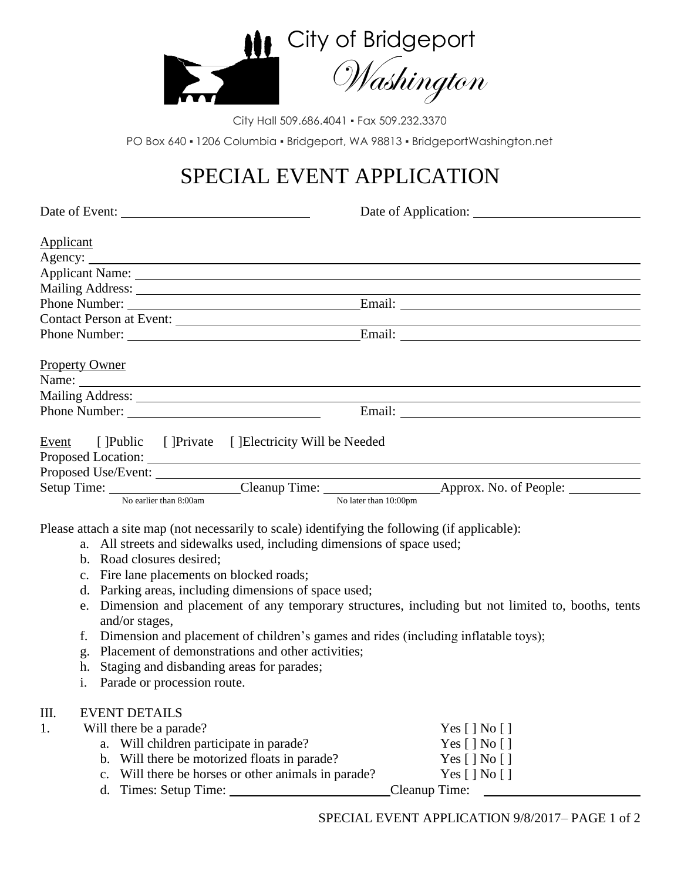

City Hall 509.686.4041 • Fax 509.232.3370 PO Box 640 · 1206 Columbia · Bridgeport, WA 98813 · BridgeportWashington.net

## SPECIAL EVENT APPLICATION

| Date of Event:                                                                                              | Date of Application:                                                                                |  |  |  |  |  |
|-------------------------------------------------------------------------------------------------------------|-----------------------------------------------------------------------------------------------------|--|--|--|--|--|
| <b>Applicant</b>                                                                                            |                                                                                                     |  |  |  |  |  |
|                                                                                                             |                                                                                                     |  |  |  |  |  |
|                                                                                                             |                                                                                                     |  |  |  |  |  |
|                                                                                                             |                                                                                                     |  |  |  |  |  |
|                                                                                                             |                                                                                                     |  |  |  |  |  |
| Contact Person at Event:                                                                                    |                                                                                                     |  |  |  |  |  |
| Phone Number: Email: Email:                                                                                 |                                                                                                     |  |  |  |  |  |
| <b>Property Owner</b>                                                                                       |                                                                                                     |  |  |  |  |  |
|                                                                                                             |                                                                                                     |  |  |  |  |  |
|                                                                                                             |                                                                                                     |  |  |  |  |  |
|                                                                                                             |                                                                                                     |  |  |  |  |  |
| Event [ ]Public [ ]Private [ ]Electricity Will be Needed                                                    |                                                                                                     |  |  |  |  |  |
|                                                                                                             |                                                                                                     |  |  |  |  |  |
| Proposed Use/Event:                                                                                         |                                                                                                     |  |  |  |  |  |
| Setup Time: <u>No earlier than 8:00am</u> Cleanup Time: <u>No later than 10:00pm</u> Approx. No. of People: |                                                                                                     |  |  |  |  |  |
|                                                                                                             |                                                                                                     |  |  |  |  |  |
|                                                                                                             |                                                                                                     |  |  |  |  |  |
| Please attach a site map (not necessarily to scale) identifying the following (if applicable):              |                                                                                                     |  |  |  |  |  |
| b. Road closures desired;                                                                                   | a. All streets and sidewalks used, including dimensions of space used;                              |  |  |  |  |  |
| c. Fire lane placements on blocked roads;                                                                   |                                                                                                     |  |  |  |  |  |
| d. Parking areas, including dimensions of space used;                                                       |                                                                                                     |  |  |  |  |  |
|                                                                                                             | e. Dimension and placement of any temporary structures, including but not limited to, booths, tents |  |  |  |  |  |
| and/or stages,<br>f.                                                                                        |                                                                                                     |  |  |  |  |  |
| Placement of demonstrations and other activities;<br>g.                                                     | Dimension and placement of children's games and rides (including inflatable toys);                  |  |  |  |  |  |
| Staging and disbanding areas for parades;<br>h.                                                             |                                                                                                     |  |  |  |  |  |
| Parade or procession route.<br>$\mathbf{i}$ .                                                               |                                                                                                     |  |  |  |  |  |
|                                                                                                             |                                                                                                     |  |  |  |  |  |
| Ш.<br><b>EVENT DETAILS</b>                                                                                  |                                                                                                     |  |  |  |  |  |
| 1.<br>Will there be a parade?                                                                               | Yes [] No []                                                                                        |  |  |  |  |  |
| a. Will children participate in parade?                                                                     | Yes [ ] No [ ]                                                                                      |  |  |  |  |  |
| Will there be motorized floats in parade?<br>b.                                                             | Yes [ ] No [ ]                                                                                      |  |  |  |  |  |
| Will there be horses or other animals in parade?<br>c.                                                      | Yes [ ] No [ ]                                                                                      |  |  |  |  |  |
| d.                                                                                                          | Cleanup Time:                                                                                       |  |  |  |  |  |
|                                                                                                             |                                                                                                     |  |  |  |  |  |